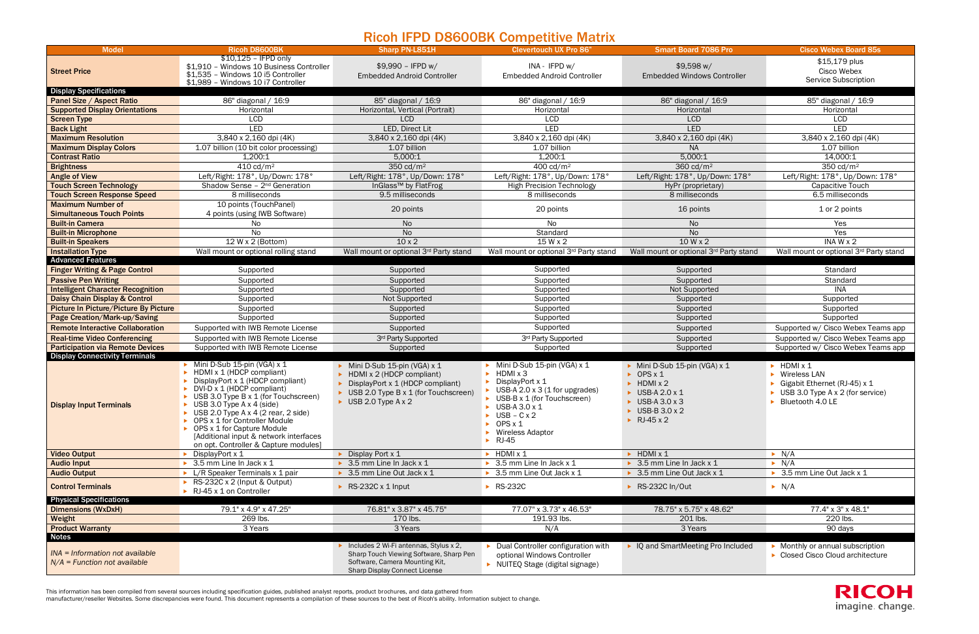## Ricoh IFPD D8600BK Competitive Matrix

This information has been compiled from several sources including specification guides, published analyst reports, product brochures, and data gathered from

manufacturer/reseller Websites. Some discrepancies were found. This document represents a compilation of these sources to the best of Ricoh's ability. Information subject to change.



|                                                                   |                                                                                                                                                                                                                                                                                                                                                                                                          |                                                                                                                                                                             | NOTHING DOOD DIT COMPONIES MANIA                                                                                                                                                                                                                                          |                                                                                                                                                                            |                                                                                                                                                           |
|-------------------------------------------------------------------|----------------------------------------------------------------------------------------------------------------------------------------------------------------------------------------------------------------------------------------------------------------------------------------------------------------------------------------------------------------------------------------------------------|-----------------------------------------------------------------------------------------------------------------------------------------------------------------------------|---------------------------------------------------------------------------------------------------------------------------------------------------------------------------------------------------------------------------------------------------------------------------|----------------------------------------------------------------------------------------------------------------------------------------------------------------------------|-----------------------------------------------------------------------------------------------------------------------------------------------------------|
| <b>Model</b>                                                      | <b>Ricoh D8600BK</b>                                                                                                                                                                                                                                                                                                                                                                                     | Sharp PN-L851H                                                                                                                                                              | <b>Clevertouch UX Pro 86"</b>                                                                                                                                                                                                                                             | <b>Smart Board 7086 Pro</b>                                                                                                                                                | <b>Cisco Webex Board 85s</b>                                                                                                                              |
| <b>Street Price</b>                                               | \$10,125 - IFPD only<br>\$1,910 - Windows 10 Business Controller<br>\$1,535 - Windows 10 i5 Controller<br>\$1,989 - Windows 10 i7 Controller                                                                                                                                                                                                                                                             | \$9,990 - IFPD w/<br><b>Embedded Android Controller</b>                                                                                                                     | INA - IFPD w/<br><b>Embedded Android Controller</b>                                                                                                                                                                                                                       | \$9,598 w/<br><b>Embedded Windows Controller</b>                                                                                                                           | \$15,179 plus<br>Cisco Webex<br>Service Subscription                                                                                                      |
| <b>Display Specifications</b>                                     |                                                                                                                                                                                                                                                                                                                                                                                                          |                                                                                                                                                                             |                                                                                                                                                                                                                                                                           |                                                                                                                                                                            |                                                                                                                                                           |
| <b>Panel Size / Aspect Ratio</b>                                  | 86" diagonal / 16:9                                                                                                                                                                                                                                                                                                                                                                                      | 85" diagonal / 16:9                                                                                                                                                         | 86" diagonal / 16:9                                                                                                                                                                                                                                                       | 86" diagonal / 16:9                                                                                                                                                        | 85" diagonal / 16:9                                                                                                                                       |
| <b>Supported Display Orientations</b>                             | Horizontal                                                                                                                                                                                                                                                                                                                                                                                               | Horizontal, Vertical (Portrait)                                                                                                                                             | Horizontal                                                                                                                                                                                                                                                                | Horizontal                                                                                                                                                                 | Horizontal                                                                                                                                                |
| <b>Screen Type</b>                                                | <b>LCD</b>                                                                                                                                                                                                                                                                                                                                                                                               | <b>LCD</b>                                                                                                                                                                  | <b>LCD</b>                                                                                                                                                                                                                                                                | <b>LCD</b>                                                                                                                                                                 | <b>LCD</b>                                                                                                                                                |
| <b>Back Light</b>                                                 | <b>LED</b>                                                                                                                                                                                                                                                                                                                                                                                               | LED, Direct Lit                                                                                                                                                             | <b>LED</b>                                                                                                                                                                                                                                                                | <b>LED</b>                                                                                                                                                                 | LED                                                                                                                                                       |
| <b>Maximum Resolution</b>                                         | 3,840 x 2,160 dpi (4K)                                                                                                                                                                                                                                                                                                                                                                                   | 3,840 x 2,160 dpi (4K)                                                                                                                                                      | 3,840 x 2,160 dpi (4K)                                                                                                                                                                                                                                                    | 3,840 x 2,160 dpi (4K)                                                                                                                                                     | 3,840 x 2,160 dpi (4K)                                                                                                                                    |
| <b>Maximum Display Colors</b>                                     | 1.07 billion (10 bit color processing)                                                                                                                                                                                                                                                                                                                                                                   | 1.07 billion                                                                                                                                                                | 1.07 billion                                                                                                                                                                                                                                                              | <b>NA</b>                                                                                                                                                                  | 1.07 billion                                                                                                                                              |
| <b>Contrast Ratio</b>                                             | 1,200:1                                                                                                                                                                                                                                                                                                                                                                                                  | 5,000:1                                                                                                                                                                     | 1,200:1                                                                                                                                                                                                                                                                   | 5,000:1                                                                                                                                                                    | 14,000:1                                                                                                                                                  |
| <b>Brightness</b>                                                 | $410 \text{ cd/m}^2$                                                                                                                                                                                                                                                                                                                                                                                     | 350 $cd/m2$                                                                                                                                                                 | 400 cd/m <sup>2</sup>                                                                                                                                                                                                                                                     | 360 $cd/m^2$                                                                                                                                                               | 350 $cd/m2$                                                                                                                                               |
| <b>Angle of View</b>                                              | Left/Right: 178°, Up/Down: 178°                                                                                                                                                                                                                                                                                                                                                                          | Left/Right: 178°, Up/Down: 178°                                                                                                                                             | Left/Right: 178°, Up/Down: 178°                                                                                                                                                                                                                                           | Left/Right: 178°, Up/Down: 178°                                                                                                                                            | Left/Right: 178°, Up/Down: 178°                                                                                                                           |
| <b>Touch Screen Technology</b>                                    | Shadow Sense - 2 <sup>nd</sup> Generation                                                                                                                                                                                                                                                                                                                                                                | InGlass <sup>™</sup> by FlatFrog                                                                                                                                            | <b>High Precision Technology</b>                                                                                                                                                                                                                                          | HyPr (proprietary)                                                                                                                                                         | Capacitive Touch                                                                                                                                          |
| <b>Touch Screen Response Speed</b>                                | 8 milliseconds                                                                                                                                                                                                                                                                                                                                                                                           | 9.5 milliseconds                                                                                                                                                            | 8 milliseconds                                                                                                                                                                                                                                                            | 8 milliseconds                                                                                                                                                             | 6.5 milliseconds                                                                                                                                          |
| <b>Maximum Number of</b>                                          | 10 points (TouchPanel)                                                                                                                                                                                                                                                                                                                                                                                   |                                                                                                                                                                             |                                                                                                                                                                                                                                                                           |                                                                                                                                                                            |                                                                                                                                                           |
| <b>Simultaneous Touch Points</b>                                  | 4 points (using IWB Software)                                                                                                                                                                                                                                                                                                                                                                            | 20 points                                                                                                                                                                   | 20 points                                                                                                                                                                                                                                                                 | 16 points                                                                                                                                                                  | 1 or 2 points                                                                                                                                             |
| <b>Built-in Camera</b>                                            | No                                                                                                                                                                                                                                                                                                                                                                                                       | <b>No</b>                                                                                                                                                                   | No                                                                                                                                                                                                                                                                        | <b>No</b>                                                                                                                                                                  | Yes                                                                                                                                                       |
| <b>Built-in Microphone</b>                                        | No                                                                                                                                                                                                                                                                                                                                                                                                       | <b>No</b>                                                                                                                                                                   | Standard                                                                                                                                                                                                                                                                  | <b>No</b>                                                                                                                                                                  | Yes                                                                                                                                                       |
| <b>Built-in Speakers</b>                                          | 12 W x 2 (Bottom)                                                                                                                                                                                                                                                                                                                                                                                        | $10 \times 2$                                                                                                                                                               | 15 W x 2                                                                                                                                                                                                                                                                  | 10 W x 2                                                                                                                                                                   | INA $W \times 2$                                                                                                                                          |
| <b>Installation Type</b>                                          | Wall mount or optional rolling stand                                                                                                                                                                                                                                                                                                                                                                     | Wall mount or optional 3rd Party stand                                                                                                                                      | Wall mount or optional 3rd Party stand                                                                                                                                                                                                                                    | Wall mount or optional 3rd Party stand                                                                                                                                     | Wall mount or optional 3rd Party stand                                                                                                                    |
| <b>Advanced Features</b>                                          |                                                                                                                                                                                                                                                                                                                                                                                                          |                                                                                                                                                                             |                                                                                                                                                                                                                                                                           |                                                                                                                                                                            |                                                                                                                                                           |
| <b>Finger Writing &amp; Page Control</b>                          | Supported                                                                                                                                                                                                                                                                                                                                                                                                | Supported                                                                                                                                                                   | Supported                                                                                                                                                                                                                                                                 | Supported                                                                                                                                                                  | Standard                                                                                                                                                  |
| <b>Passive Pen Writing</b>                                        | Supported                                                                                                                                                                                                                                                                                                                                                                                                | Supported                                                                                                                                                                   | Supported                                                                                                                                                                                                                                                                 | Supported                                                                                                                                                                  | Standard                                                                                                                                                  |
| <b>Intelligent Character Recognition</b>                          | Supported                                                                                                                                                                                                                                                                                                                                                                                                | Supported                                                                                                                                                                   | Supported                                                                                                                                                                                                                                                                 | Not Supported                                                                                                                                                              | <b>INA</b>                                                                                                                                                |
| Daisy Chain Display & Control                                     | Supported                                                                                                                                                                                                                                                                                                                                                                                                | Not Supported                                                                                                                                                               | Supported                                                                                                                                                                                                                                                                 | Supported                                                                                                                                                                  | Supported                                                                                                                                                 |
| Picture In Picture/Picture By Picture                             | Supported                                                                                                                                                                                                                                                                                                                                                                                                | Supported                                                                                                                                                                   | Supported                                                                                                                                                                                                                                                                 | Supported                                                                                                                                                                  | Supported                                                                                                                                                 |
| Page Creation/Mark-up/Saving                                      | Supported                                                                                                                                                                                                                                                                                                                                                                                                | Supported                                                                                                                                                                   | Supported                                                                                                                                                                                                                                                                 | Supported                                                                                                                                                                  | Supported                                                                                                                                                 |
| <b>Remote Interactive Collaboration</b>                           | Supported with IWB Remote License                                                                                                                                                                                                                                                                                                                                                                        | Supported                                                                                                                                                                   | Supported                                                                                                                                                                                                                                                                 | Supported                                                                                                                                                                  | Supported w/ Cisco Webex Teams app                                                                                                                        |
| <b>Real-time Video Conferencing</b>                               | Supported with IWB Remote License                                                                                                                                                                                                                                                                                                                                                                        | 3rd Party Supported                                                                                                                                                         | 3rd Party Supported                                                                                                                                                                                                                                                       | Supported                                                                                                                                                                  | Supported w/ Cisco Webex Teams app                                                                                                                        |
| <b>Participation via Remote Devices</b>                           | Supported with IWB Remote License                                                                                                                                                                                                                                                                                                                                                                        | Supported                                                                                                                                                                   | Supported                                                                                                                                                                                                                                                                 | Supported                                                                                                                                                                  | Supported w/ Cisco Webex Teams app                                                                                                                        |
| <b>Display Connectivity Terminals</b>                             |                                                                                                                                                                                                                                                                                                                                                                                                          |                                                                                                                                                                             |                                                                                                                                                                                                                                                                           |                                                                                                                                                                            |                                                                                                                                                           |
| <b>Display Input Terminals</b>                                    | Mini D-Sub 15-pin (VGA) x 1<br>HDMI x 1 (HDCP compliant)<br>DisplayPort x 1 (HDCP compliant)<br>DVI-D x 1 (HDCP compliant)<br>USB 3.0 Type B x 1 (for Touchscreen)<br>USB 3.0 Type $A \times 4$ (side)<br>USB 2.0 Type $A \times 4$ (2 rear, 2 side)<br>OPS x 1 for Controller Module<br>• OPS x 1 for Capture Module<br>[Additional input & network interfaces<br>on opt. Controller & Capture modules] | Mini D-Sub 15-pin (VGA) x 1<br>HDMI x 2 (HDCP compliant)<br>DisplayPort x 1 (HDCP compliant)<br>USB 2.0 Type B x 1 (for Touchscreen)<br>$\triangleright$ USB 2.0 Type A x 2 | Mini D-Sub 15-pin (VGA) x 1<br>HDMI x 3<br>DisplayPort x 1<br>USB-A 2.0 $\times$ 3 (1 for upgrades)<br>USB-B x 1 (for Touchscreen)<br>USB-A 3.0 x 1<br>$USB - C \times 2$<br>$\triangleright$ OPS x 1<br>$\triangleright$ Wireless Adaptor<br>$\blacktriangleright$ RJ-45 | Mini D-Sub 15-pin (VGA) x 1<br>$\triangleright$ OPS x 1<br>$\blacktriangleright$ HDMI x 2<br>$\triangleright$ USB-A 2.0 x 1<br>USB-A 3.0 x 3<br>USB-B 3.0 x 2<br>RJ-45 x 2 | HDMI x 1<br>$\triangleright$ Wireless LAN<br>Gigabit Ethernet (RJ-45) x 1<br>USB 3.0 Type $A \times 2$ (for service)<br>$\triangleright$ Bluetooth 4.0 LE |
| <b>Video Output</b>                                               | DisplayPort x 1                                                                                                                                                                                                                                                                                                                                                                                          | Display Port x 1                                                                                                                                                            | $\blacktriangleright$ HDMI x 1                                                                                                                                                                                                                                            | $\blacktriangleright$ HDMI x 1                                                                                                                                             | $\triangleright$ N/A                                                                                                                                      |
| <b>Audio Input</b>                                                | $\triangleright$ 3.5 mm Line In Jack x 1                                                                                                                                                                                                                                                                                                                                                                 | $\triangleright$ 3.5 mm Line In Jack x 1                                                                                                                                    | $\triangleright$ 3.5 mm Line In Jack x 1                                                                                                                                                                                                                                  | 3.5 mm Line In Jack x 1                                                                                                                                                    | $\triangleright$ N/A                                                                                                                                      |
| <b>Audio Output</b>                                               | $\blacktriangleright$ L/R Speaker Terminals x 1 pair<br>RS-232C x 2 (Input & Output)                                                                                                                                                                                                                                                                                                                     | 3.5 mm Line Out Jack x 1                                                                                                                                                    | ▶ 3.5 mm Line Out Jack x 1                                                                                                                                                                                                                                                | 3.5 mm Line Out Jack x 1                                                                                                                                                   | ▶ 3.5 mm Line Out Jack x 1                                                                                                                                |
| <b>Control Terminals</b>                                          | RJ-45 x 1 on Controller                                                                                                                                                                                                                                                                                                                                                                                  | RS-232C x 1 Input                                                                                                                                                           | ▶ RS-232C                                                                                                                                                                                                                                                                 | RS-232C In/Out                                                                                                                                                             | $\blacktriangleright$ N/A                                                                                                                                 |
| <b>Physical Specifications</b>                                    |                                                                                                                                                                                                                                                                                                                                                                                                          |                                                                                                                                                                             |                                                                                                                                                                                                                                                                           |                                                                                                                                                                            |                                                                                                                                                           |
| <b>Dimensions (WxDxH)</b>                                         | 79.1" x 4.9" x 47.25"                                                                                                                                                                                                                                                                                                                                                                                    | 76.81" x 3.87" x 45.75"                                                                                                                                                     | 77.07" x 3.73" x 46.53"                                                                                                                                                                                                                                                   | 78.75" x 5.75" x 48.62"                                                                                                                                                    | 77.4" x 3" x 48.1"                                                                                                                                        |
| Weight                                                            | 269 lbs.                                                                                                                                                                                                                                                                                                                                                                                                 | 170 lbs.                                                                                                                                                                    | 191.93 lbs.                                                                                                                                                                                                                                                               | 201 lbs.                                                                                                                                                                   | 220 lbs.                                                                                                                                                  |
| <b>Product Warranty</b><br><b>Notes</b>                           | 3 Years                                                                                                                                                                                                                                                                                                                                                                                                  | 3 Years                                                                                                                                                                     | N/A                                                                                                                                                                                                                                                                       | 3 Years                                                                                                                                                                    | 90 days                                                                                                                                                   |
| INA = Information not available<br>$N/A$ = Function not available |                                                                                                                                                                                                                                                                                                                                                                                                          | Includes 2 Wi-Fi antennas, Stylus x 2,<br>Sharp Touch Viewing Software, Sharp Pen<br>Software, Camera Mounting Kit,<br>Sharp Display Connect License                        | Dual Controller configuration with<br>optional Windows Controller<br>NUITEQ Stage (digital signage)                                                                                                                                                                       | IQ and SmartMeeting Pro Included                                                                                                                                           | • Monthly or annual subscription<br>▶ Closed Cisco Cloud architecture                                                                                     |